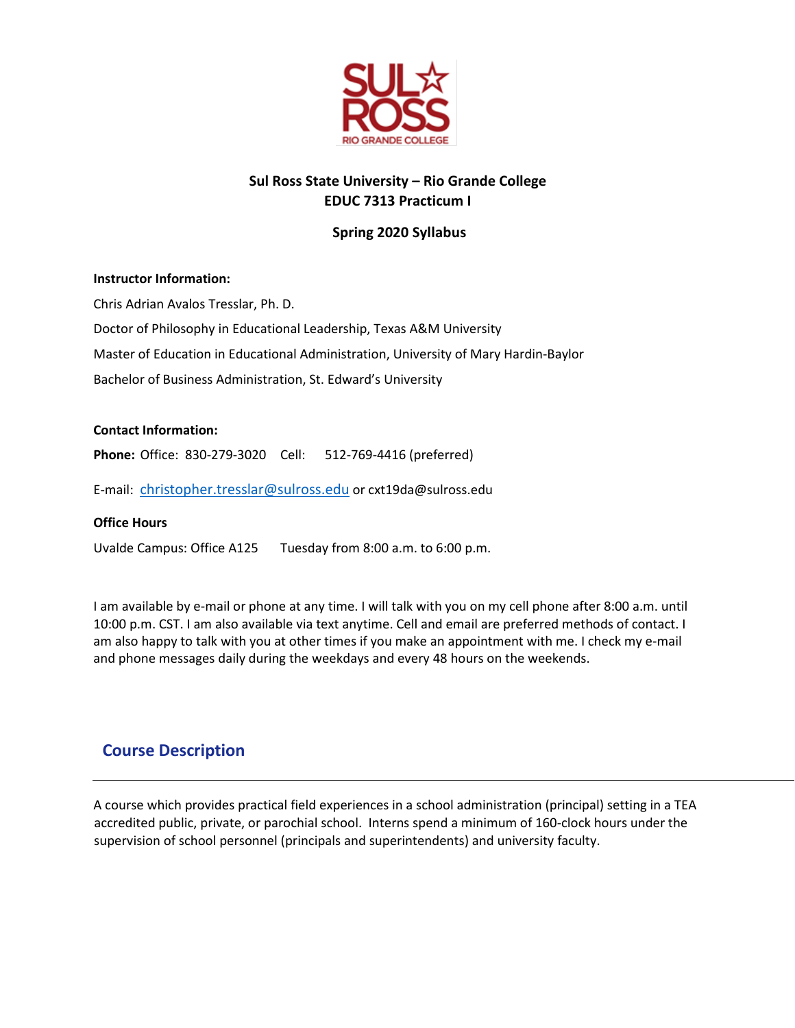

# **Sul Ross State University – Rio Grande College EDUC 7313 Practicum I**

## **Spring 2020 Syllabus**

#### **Instructor Information:**

Chris Adrian Avalos Tresslar, Ph. D. Doctor of Philosophy in Educational Leadership, Texas A&M University Master of Education in Educational Administration, University of Mary Hardin-Baylor Bachelor of Business Administration, St. Edward's University

#### **Contact Information:**

**Phone:** Office: 830-279-3020 Cell: 512-769-4416 (preferred)

E-mail: [christopher.tresslar@sulross.edu](mailto:christopher.tresslar@sulross.edu) or cxt19da@sulross.edu

#### **Office Hours**

Uvalde Campus: Office A125 Tuesday from 8:00 a.m. to 6:00 p.m.

I am available by e-mail or phone at any time. I will talk with you on my cell phone after 8:00 a.m. until 10:00 p.m. CST. I am also available via text anytime. Cell and email are preferred methods of contact. I am also happy to talk with you at other times if you make an appointment with me. I check my e-mail and phone messages daily during the weekdays and every 48 hours on the weekends.

# **Course Description**

A course which provides practical field experiences in a school administration (principal) setting in a TEA accredited public, private, or parochial school. Interns spend a minimum of 160-clock hours under the supervision of school personnel (principals and superintendents) and university faculty.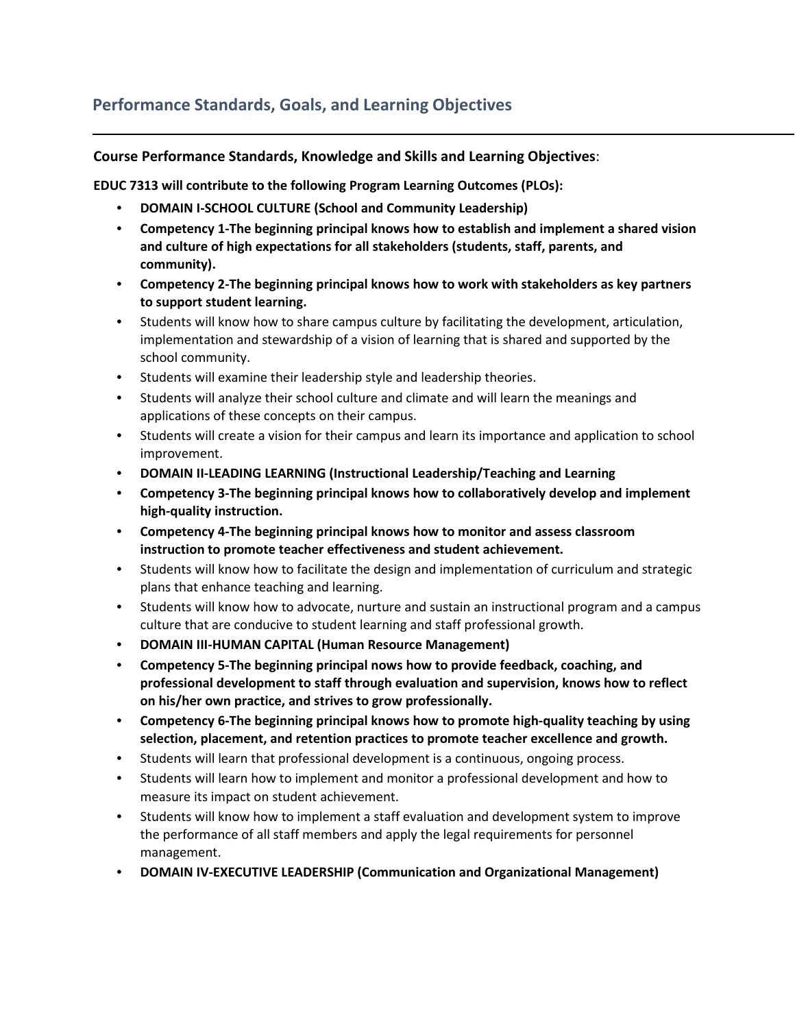# **Performance Standards, Goals, and Learning Objectives**

## **Course Performance Standards, Knowledge and Skills and Learning Objectives**:

**EDUC 7313 will contribute to the following Program Learning Outcomes (PLOs):**

- **DOMAIN I-SCHOOL CULTURE (School and Community Leadership)**
- **Competency 1-The beginning principal knows how to establish and implement a shared vision and culture of high expectations for all stakeholders (students, staff, parents, and community).**
- **Competency 2-The beginning principal knows how to work with stakeholders as key partners to support student learning.**
- Students will know how to share campus culture by facilitating the development, articulation, implementation and stewardship of a vision of learning that is shared and supported by the school community.
- Students will examine their leadership style and leadership theories.
- Students will analyze their school culture and climate and will learn the meanings and applications of these concepts on their campus.
- Students will create a vision for their campus and learn its importance and application to school improvement.
- **DOMAIN II-LEADING LEARNING (Instructional Leadership/Teaching and Learning**
- **Competency 3-The beginning principal knows how to collaboratively develop and implement high-quality instruction.**
- **Competency 4-The beginning principal knows how to monitor and assess classroom instruction to promote teacher effectiveness and student achievement.**
- Students will know how to facilitate the design and implementation of curriculum and strategic plans that enhance teaching and learning.
- Students will know how to advocate, nurture and sustain an instructional program and a campus culture that are conducive to student learning and staff professional growth.
- **DOMAIN III-HUMAN CAPITAL (Human Resource Management)**
- **Competency 5-The beginning principal nows how to provide feedback, coaching, and professional development to staff through evaluation and supervision, knows how to reflect on his/her own practice, and strives to grow professionally.**
- **Competency 6-The beginning principal knows how to promote high-quality teaching by using selection, placement, and retention practices to promote teacher excellence and growth.**
- Students will learn that professional development is a continuous, ongoing process.
- Students will learn how to implement and monitor a professional development and how to measure its impact on student achievement.
- Students will know how to implement a staff evaluation and development system to improve the performance of all staff members and apply the legal requirements for personnel management.
- **DOMAIN IV-EXECUTIVE LEADERSHIP (Communication and Organizational Management)**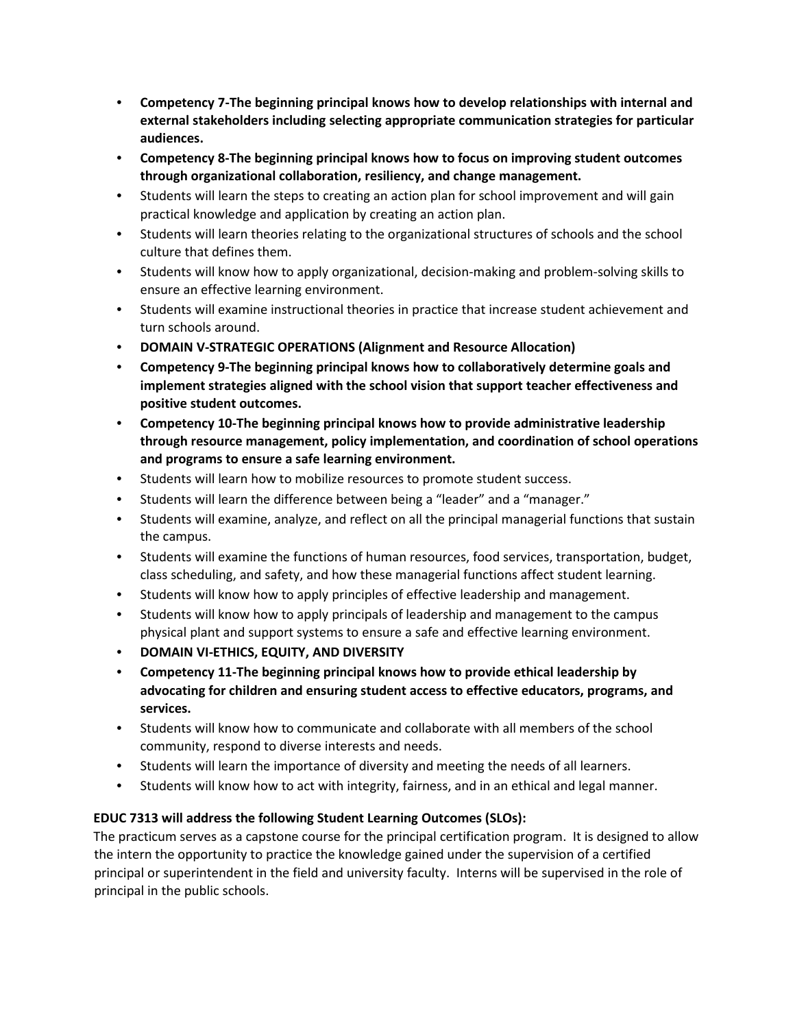- **Competency 7-The beginning principal knows how to develop relationships with internal and external stakeholders including selecting appropriate communication strategies for particular audiences.**
- **Competency 8-The beginning principal knows how to focus on improving student outcomes through organizational collaboration, resiliency, and change management.**
- Students will learn the steps to creating an action plan for school improvement and will gain practical knowledge and application by creating an action plan.
- Students will learn theories relating to the organizational structures of schools and the school culture that defines them.
- Students will know how to apply organizational, decision-making and problem-solving skills to ensure an effective learning environment.
- Students will examine instructional theories in practice that increase student achievement and turn schools around.
- **DOMAIN V-STRATEGIC OPERATIONS (Alignment and Resource Allocation)**
- **Competency 9-The beginning principal knows how to collaboratively determine goals and implement strategies aligned with the school vision that support teacher effectiveness and positive student outcomes.**
- **Competency 10-The beginning principal knows how to provide administrative leadership through resource management, policy implementation, and coordination of school operations and programs to ensure a safe learning environment.**
- Students will learn how to mobilize resources to promote student success.
- Students will learn the difference between being a "leader" and a "manager."
- Students will examine, analyze, and reflect on all the principal managerial functions that sustain the campus.
- Students will examine the functions of human resources, food services, transportation, budget, class scheduling, and safety, and how these managerial functions affect student learning.
- Students will know how to apply principles of effective leadership and management.
- Students will know how to apply principals of leadership and management to the campus physical plant and support systems to ensure a safe and effective learning environment.
- **DOMAIN VI-ETHICS, EQUITY, AND DIVERSITY**
- **Competency 11-The beginning principal knows how to provide ethical leadership by advocating for children and ensuring student access to effective educators, programs, and services.**
- Students will know how to communicate and collaborate with all members of the school community, respond to diverse interests and needs.
- Students will learn the importance of diversity and meeting the needs of all learners.
- Students will know how to act with integrity, fairness, and in an ethical and legal manner.

## **EDUC 7313 will address the following Student Learning Outcomes (SLOs):**

The practicum serves as a capstone course for the principal certification program. It is designed to allow the intern the opportunity to practice the knowledge gained under the supervision of a certified principal or superintendent in the field and university faculty. Interns will be supervised in the role of principal in the public schools.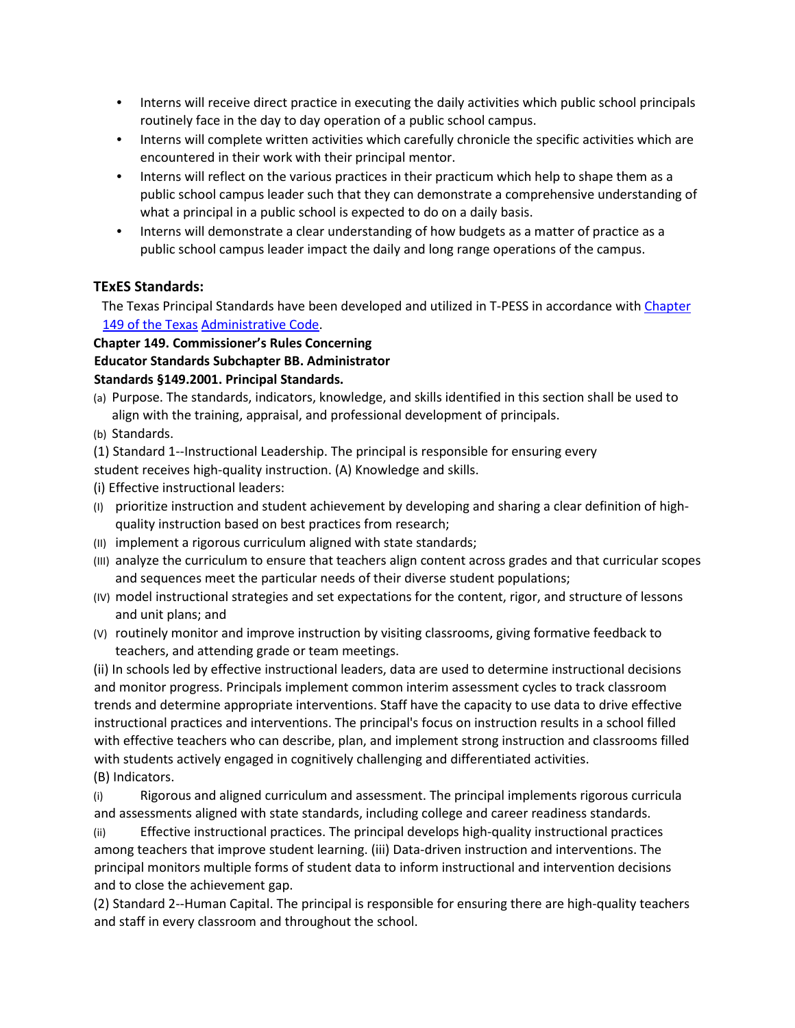- Interns will receive direct practice in executing the daily activities which public school principals routinely face in the day to day operation of a public school campus.
- Interns will complete written activities which carefully chronicle the specific activities which are encountered in their work with their principal mentor.
- Interns will reflect on the various practices in their practicum which help to shape them as a public school campus leader such that they can demonstrate a comprehensive understanding of what a principal in a public school is expected to do on a daily basis.
- Interns will demonstrate a clear understanding of how budgets as a matter of practice as a public school campus leader impact the daily and long range operations of the campus.

## **TExES Standards:**

The Texas Principal Standards have been developed and utilized in T-PESS in accordance with Chapter 149 of the Texas Administrative Code.

## **Chapter 149. Commissioner's Rules Concerning**

## **Educator Standards Subchapter BB. Administrator**

## **Standards §149.2001. Principal Standards.**

- (a) Purpose. The standards, indicators, knowledge, and skills identified in this section shall be used to align with the training, appraisal, and professional development of principals.
- (b) Standards.

(1) Standard 1--Instructional Leadership. The principal is responsible for ensuring every

student receives high-quality instruction. (A) Knowledge and skills.

(i) Effective instructional leaders:

- (I) prioritize instruction and student achievement by developing and sharing a clear definition of highquality instruction based on best practices from research;
- (II) implement a rigorous curriculum aligned with state standards;
- (III) analyze the curriculum to ensure that teachers align content across grades and that curricular scopes and sequences meet the particular needs of their diverse student populations;
- (IV) model instructional strategies and set expectations for the content, rigor, and structure of lessons and unit plans; and
- (V) routinely monitor and improve instruction by visiting classrooms, giving formative feedback to teachers, and attending grade or team meetings.

(ii) In schools led by effective instructional leaders, data are used to determine instructional decisions and monitor progress. Principals implement common interim assessment cycles to track classroom trends and determine appropriate interventions. Staff have the capacity to use data to drive effective instructional practices and interventions. The principal's focus on instruction results in a school filled with effective teachers who can describe, plan, and implement strong instruction and classrooms filled with students actively engaged in cognitively challenging and differentiated activities.

(B) Indicators.

(i) Rigorous and aligned curriculum and assessment. The principal implements rigorous curricula and assessments aligned with state standards, including college and career readiness standards.

(ii) Effective instructional practices. The principal develops high-quality instructional practices among teachers that improve student learning. (iii) Data-driven instruction and interventions. The principal monitors multiple forms of student data to inform instructional and intervention decisions and to close the achievement gap.

(2) Standard 2--Human Capital. The principal is responsible for ensuring there are high-quality teachers and staff in every classroom and throughout the school.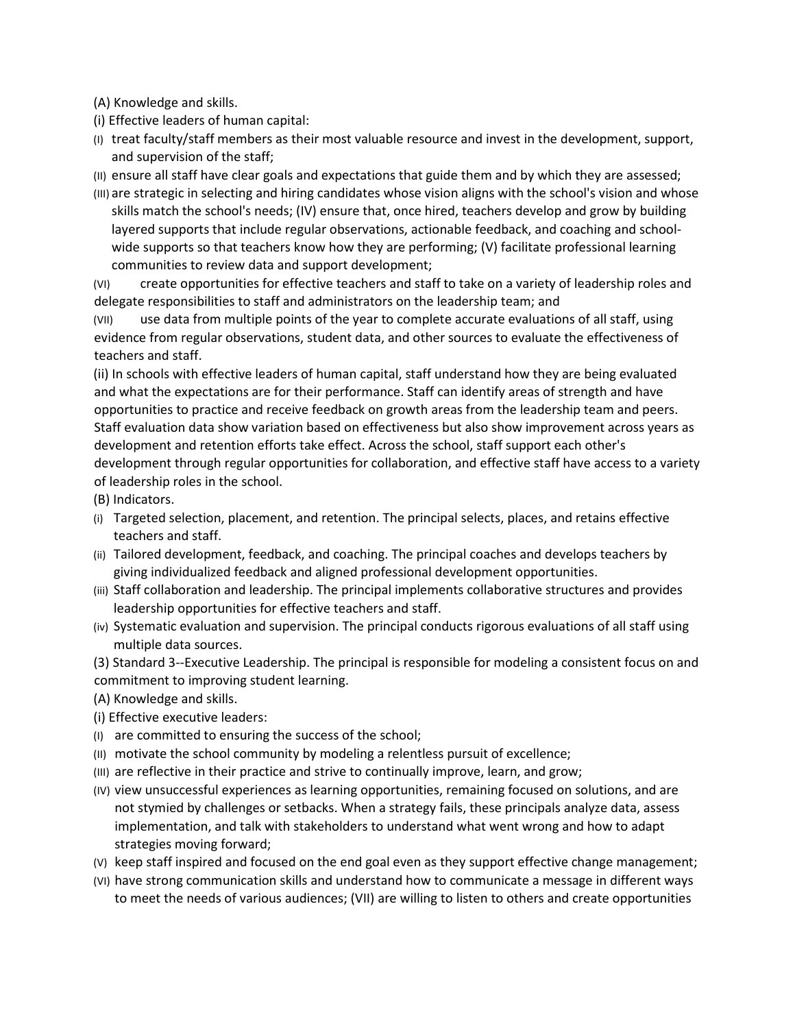(A) Knowledge and skills.

- (i) Effective leaders of human capital:
- (I) treat faculty/staff members as their most valuable resource and invest in the development, support, and supervision of the staff;

(II) ensure all staff have clear goals and expectations that guide them and by which they are assessed;

(III) are strategic in selecting and hiring candidates whose vision aligns with the school's vision and whose skills match the school's needs; (IV) ensure that, once hired, teachers develop and grow by building layered supports that include regular observations, actionable feedback, and coaching and schoolwide supports so that teachers know how they are performing; (V) facilitate professional learning communities to review data and support development;

(VI) create opportunities for effective teachers and staff to take on a variety of leadership roles and delegate responsibilities to staff and administrators on the leadership team; and

(VII) use data from multiple points of the year to complete accurate evaluations of all staff, using evidence from regular observations, student data, and other sources to evaluate the effectiveness of teachers and staff.

(ii) In schools with effective leaders of human capital, staff understand how they are being evaluated and what the expectations are for their performance. Staff can identify areas of strength and have opportunities to practice and receive feedback on growth areas from the leadership team and peers. Staff evaluation data show variation based on effectiveness but also show improvement across years as development and retention efforts take effect. Across the school, staff support each other's development through regular opportunities for collaboration, and effective staff have access to a variety of leadership roles in the school.

(B) Indicators.

- (i) Targeted selection, placement, and retention. The principal selects, places, and retains effective teachers and staff.
- (ii) Tailored development, feedback, and coaching. The principal coaches and develops teachers by giving individualized feedback and aligned professional development opportunities.
- (iii) Staff collaboration and leadership. The principal implements collaborative structures and provides leadership opportunities for effective teachers and staff.
- (iv) Systematic evaluation and supervision. The principal conducts rigorous evaluations of all staff using multiple data sources.
- (3) Standard 3--Executive Leadership. The principal is responsible for modeling a consistent focus on and
- commitment to improving student learning.
- (A) Knowledge and skills.
- (i) Effective executive leaders:
- (I) are committed to ensuring the success of the school;
- (II) motivate the school community by modeling a relentless pursuit of excellence;
- (III) are reflective in their practice and strive to continually improve, learn, and grow;
- (IV) view unsuccessful experiences as learning opportunities, remaining focused on solutions, and are not stymied by challenges or setbacks. When a strategy fails, these principals analyze data, assess implementation, and talk with stakeholders to understand what went wrong and how to adapt strategies moving forward;
- (V) keep staff inspired and focused on the end goal even as they support effective change management;
- (VI) have strong communication skills and understand how to communicate a message in different ways to meet the needs of various audiences; (VII) are willing to listen to others and create opportunities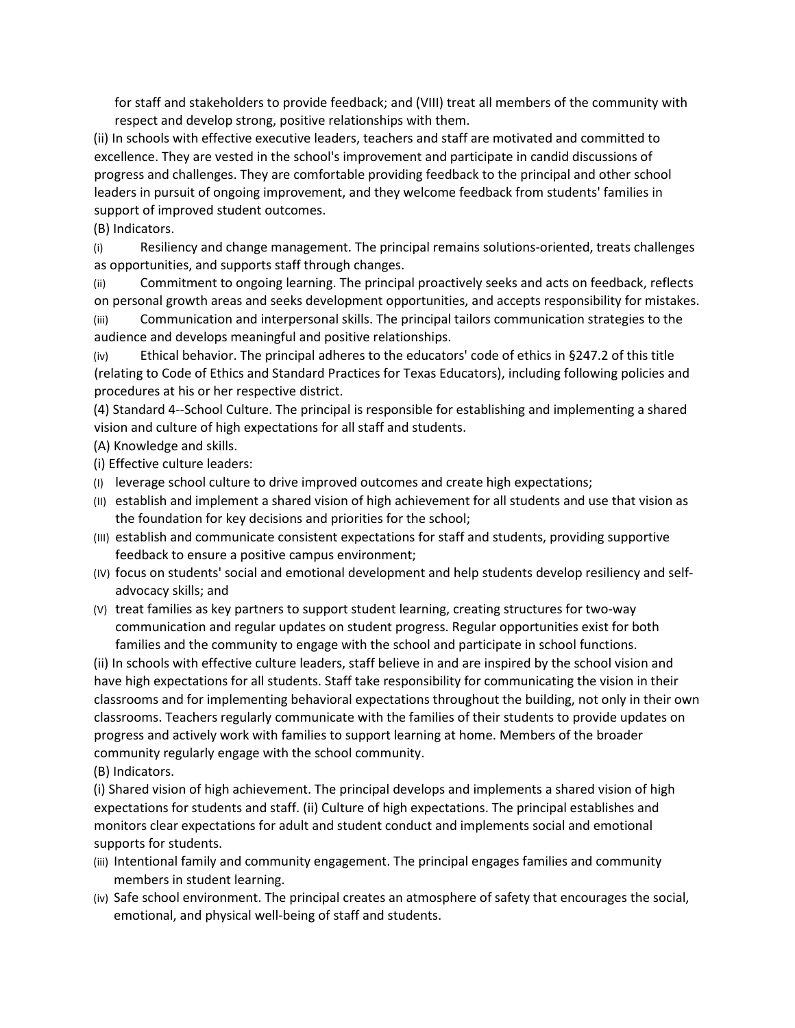for staff and stakeholders to provide feedback; and (VIII) treat all members of the community with respect and develop strong, positive relationships with them.

(ii) In schools with effective executive leaders, teachers and staff are motivated and committed to excellence. They are vested in the school's improvement and participate in candid discussions of progress and challenges. They are comfortable providing feedback to the principal and other school leaders in pursuit of ongoing improvement, and they welcome feedback from students' families in support of improved student outcomes.

(B) Indicators.

(i) Resiliency and change management. The principal remains solutions-oriented, treats challenges as opportunities, and supports staff through changes.

(ii) Commitment to ongoing learning. The principal proactively seeks and acts on feedback, reflects on personal growth areas and seeks development opportunities, and accepts responsibility for mistakes.

(iii) Communication and interpersonal skills. The principal tailors communication strategies to the audience and develops meaningful and positive relationships.

(iv) Ethical behavior. The principal adheres to the educators' code of ethics in §247.2 of this title (relating to Code of Ethics and Standard Practices for Texas Educators), including following policies and procedures at his or her respective district.

(4) Standard 4--School Culture. The principal is responsible for establishing and implementing a shared vision and culture of high expectations for all staff and students.

(A) Knowledge and skills.

(i) Effective culture leaders:

- (I) leverage school culture to drive improved outcomes and create high expectations;
- (II) establish and implement a shared vision of high achievement for all students and use that vision as the foundation for key decisions and priorities for the school;
- (III) establish and communicate consistent expectations for staff and students, providing supportive feedback to ensure a positive campus environment;
- (IV) focus on students' social and emotional development and help students develop resiliency and selfadvocacy skills; and
- (V) treat families as key partners to support student learning, creating structures for two-way communication and regular updates on student progress. Regular opportunities exist for both families and the community to engage with the school and participate in school functions.

(ii) In schools with effective culture leaders, staff believe in and are inspired by the school vision and have high expectations for all students. Staff take responsibility for communicating the vision in their classrooms and for implementing behavioral expectations throughout the building, not only in their own classrooms. Teachers regularly communicate with the families of their students to provide updates on progress and actively work with families to support learning at home. Members of the broader community regularly engage with the school community.

(B) Indicators.

(i) Shared vision of high achievement. The principal develops and implements a shared vision of high expectations for students and staff. (ii) Culture of high expectations. The principal establishes and monitors clear expectations for adult and student conduct and implements social and emotional supports for students.

- (iii) Intentional family and community engagement. The principal engages families and community members in student learning.
- (iv) Safe school environment. The principal creates an atmosphere of safety that encourages the social, emotional, and physical well-being of staff and students.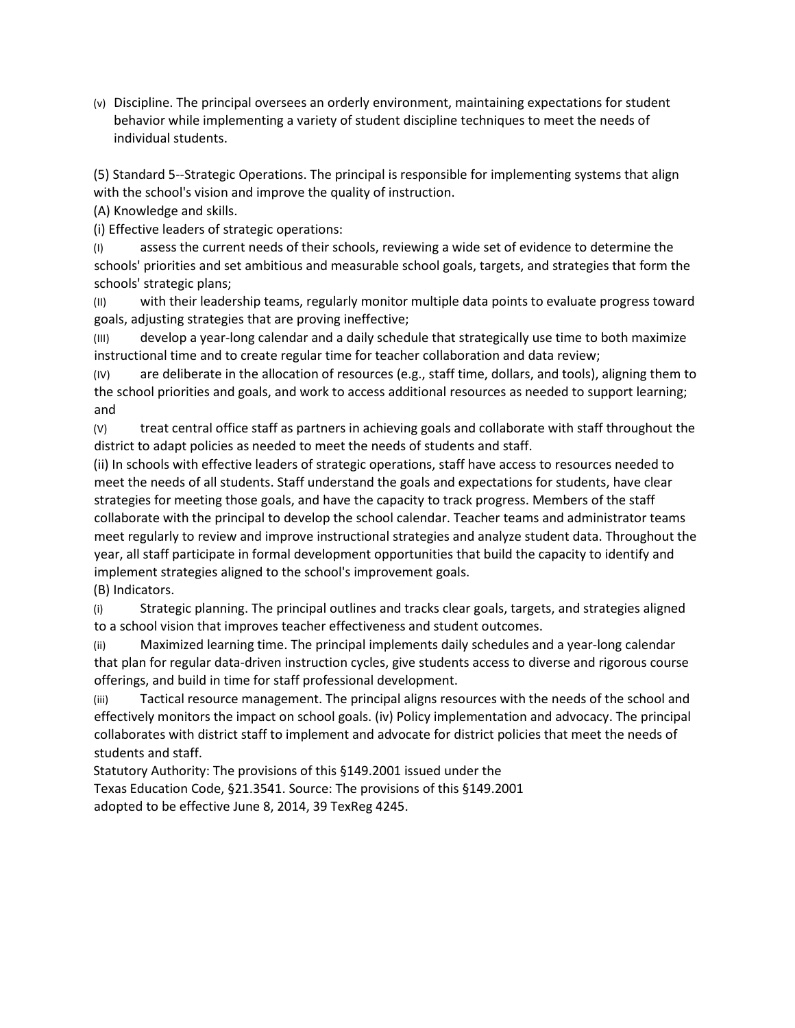(v) Discipline. The principal oversees an orderly environment, maintaining expectations for student behavior while implementing a variety of student discipline techniques to meet the needs of individual students.

(5) Standard 5--Strategic Operations. The principal is responsible for implementing systems that align with the school's vision and improve the quality of instruction.

(A) Knowledge and skills.

(i) Effective leaders of strategic operations:

(I) assess the current needs of their schools, reviewing a wide set of evidence to determine the schools' priorities and set ambitious and measurable school goals, targets, and strategies that form the schools' strategic plans;

(II) with their leadership teams, regularly monitor multiple data points to evaluate progress toward goals, adjusting strategies that are proving ineffective;

(III) develop a year-long calendar and a daily schedule that strategically use time to both maximize instructional time and to create regular time for teacher collaboration and data review;

(IV) are deliberate in the allocation of resources (e.g., staff time, dollars, and tools), aligning them to the school priorities and goals, and work to access additional resources as needed to support learning; and

(V) treat central office staff as partners in achieving goals and collaborate with staff throughout the district to adapt policies as needed to meet the needs of students and staff.

(ii) In schools with effective leaders of strategic operations, staff have access to resources needed to meet the needs of all students. Staff understand the goals and expectations for students, have clear strategies for meeting those goals, and have the capacity to track progress. Members of the staff collaborate with the principal to develop the school calendar. Teacher teams and administrator teams meet regularly to review and improve instructional strategies and analyze student data. Throughout the year, all staff participate in formal development opportunities that build the capacity to identify and implement strategies aligned to the school's improvement goals.

(B) Indicators.

(i) Strategic planning. The principal outlines and tracks clear goals, targets, and strategies aligned to a school vision that improves teacher effectiveness and student outcomes.

(ii) Maximized learning time. The principal implements daily schedules and a year-long calendar that plan for regular data-driven instruction cycles, give students access to diverse and rigorous course offerings, and build in time for staff professional development.

(iii) Tactical resource management. The principal aligns resources with the needs of the school and effectively monitors the impact on school goals. (iv) Policy implementation and advocacy. The principal collaborates with district staff to implement and advocate for district policies that meet the needs of students and staff.

Statutory Authority: The provisions of this §149.2001 issued under the Texas Education Code, §21.3541. Source: The provisions of this §149.2001 adopted to be effective June 8, 2014, 39 TexReg 4245.